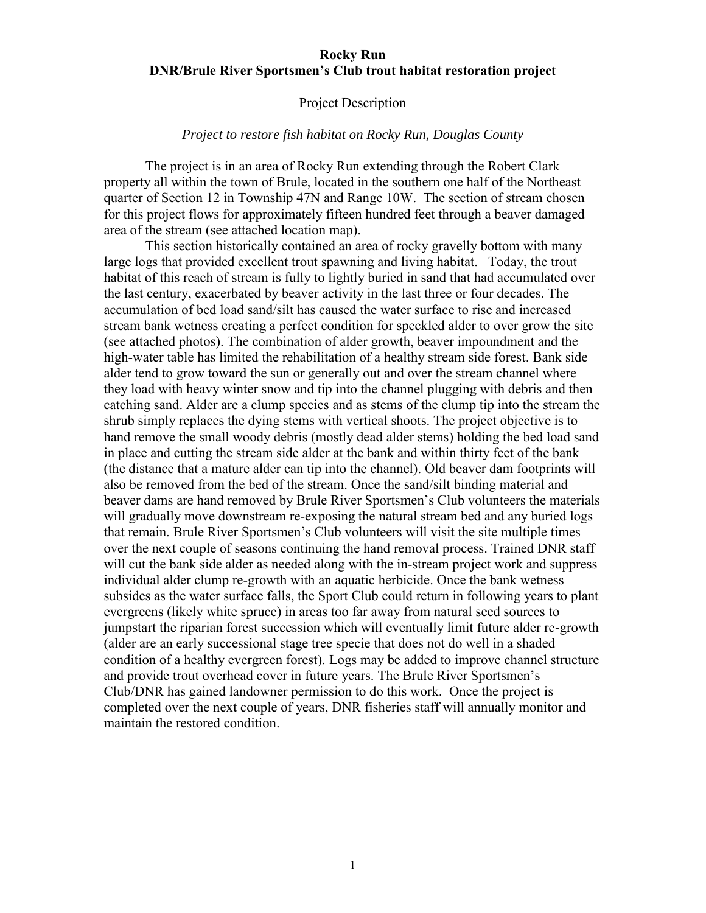## **Rocky Run DNR/Brule River Sportsmen's Club trout habitat restoration project**

## Project Description

## *Project to restore fish habitat on Rocky Run, Douglas County*

The project is in an area of Rocky Run extending through the Robert Clark property all within the town of Brule, located in the southern one half of the Northeast quarter of Section 12 in Township 47N and Range 10W. The section of stream chosen for this project flows for approximately fifteen hundred feet through a beaver damaged area of the stream (see attached location map).

This section historically contained an area of rocky gravelly bottom with many large logs that provided excellent trout spawning and living habitat. Today, the trout habitat of this reach of stream is fully to lightly buried in sand that had accumulated over the last century, exacerbated by beaver activity in the last three or four decades. The accumulation of bed load sand/silt has caused the water surface to rise and increased stream bank wetness creating a perfect condition for speckled alder to over grow the site (see attached photos). The combination of alder growth, beaver impoundment and the high-water table has limited the rehabilitation of a healthy stream side forest. Bank side alder tend to grow toward the sun or generally out and over the stream channel where they load with heavy winter snow and tip into the channel plugging with debris and then catching sand. Alder are a clump species and as stems of the clump tip into the stream the shrub simply replaces the dying stems with vertical shoots. The project objective is to hand remove the small woody debris (mostly dead alder stems) holding the bed load sand in place and cutting the stream side alder at the bank and within thirty feet of the bank (the distance that a mature alder can tip into the channel). Old beaver dam footprints will also be removed from the bed of the stream. Once the sand/silt binding material and beaver dams are hand removed by Brule River Sportsmen's Club volunteers the materials will gradually move downstream re-exposing the natural stream bed and any buried logs that remain. Brule River Sportsmen's Club volunteers will visit the site multiple times over the next couple of seasons continuing the hand removal process. Trained DNR staff will cut the bank side alder as needed along with the in-stream project work and suppress individual alder clump re-growth with an aquatic herbicide. Once the bank wetness subsides as the water surface falls, the Sport Club could return in following years to plant evergreens (likely white spruce) in areas too far away from natural seed sources to jumpstart the riparian forest succession which will eventually limit future alder re-growth (alder are an early successional stage tree specie that does not do well in a shaded condition of a healthy evergreen forest). Logs may be added to improve channel structure and provide trout overhead cover in future years. The Brule River Sportsmen's Club/DNR has gained landowner permission to do this work. Once the project is completed over the next couple of years, DNR fisheries staff will annually monitor and maintain the restored condition.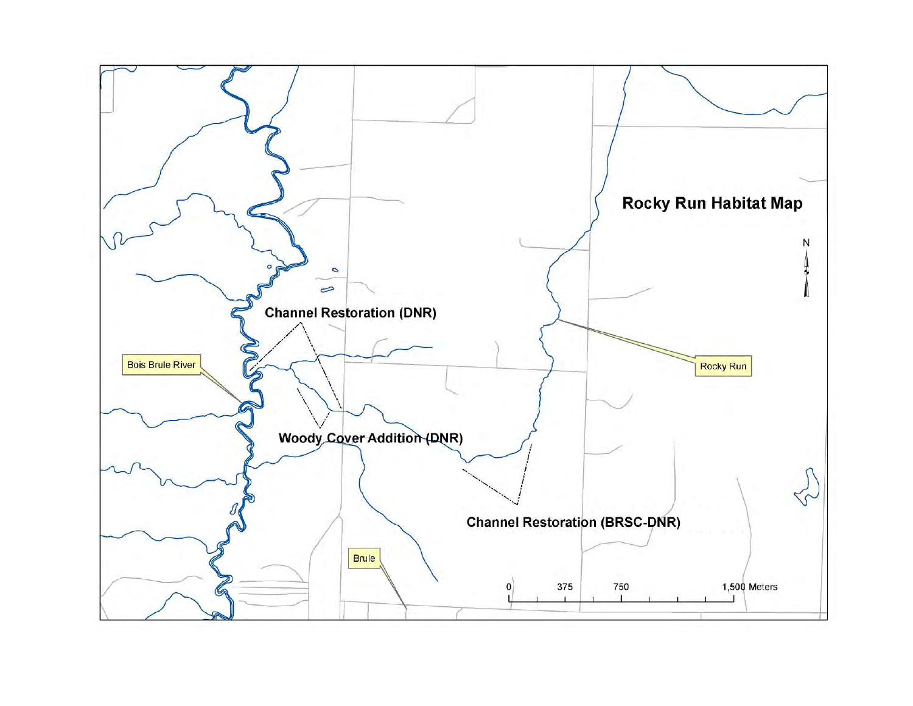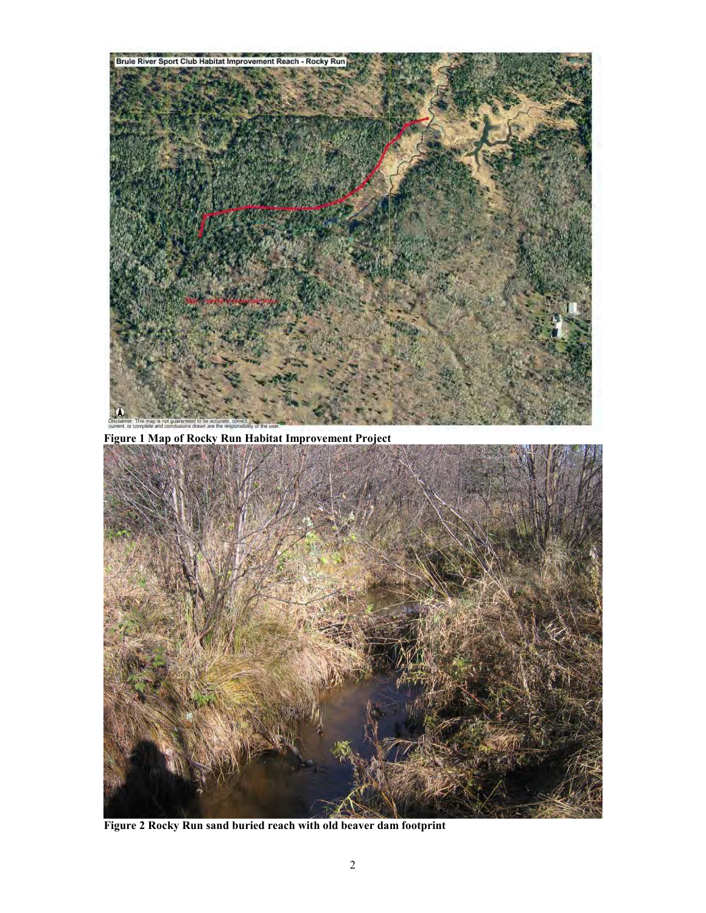

**Figure 1 Map of Rocky Run Habitat Improvement Project**



**Figure 2 Rocky Run sand buried reach with old beaver dam footprint**